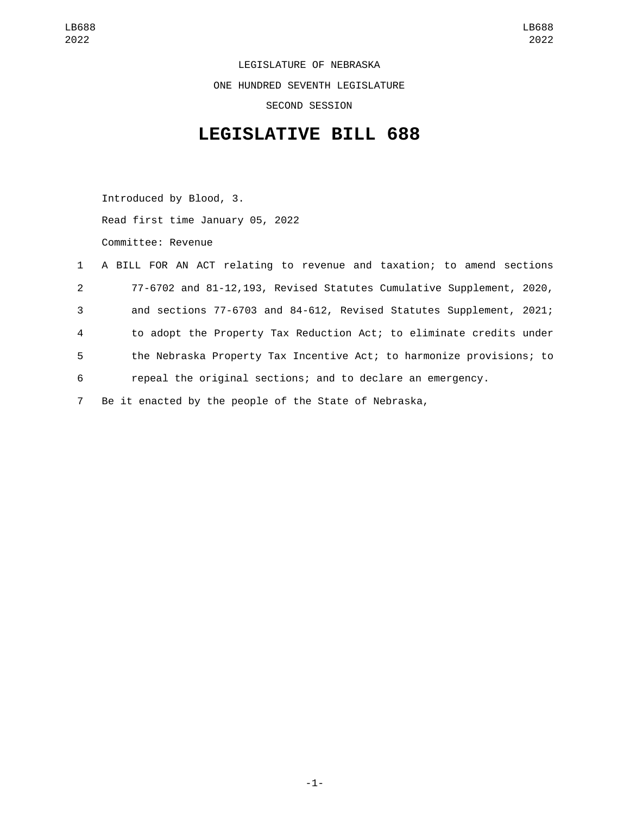LEGISLATURE OF NEBRASKA ONE HUNDRED SEVENTH LEGISLATURE SECOND SESSION

## **LEGISLATIVE BILL 688**

Introduced by Blood, 3. Read first time January 05, 2022 Committee: Revenue

|                | 1 A BILL FOR AN ACT relating to revenue and taxation; to amend sections |
|----------------|-------------------------------------------------------------------------|
| $2^{\circ}$    | 77-6702 and 81-12,193, Revised Statutes Cumulative Supplement, 2020,    |
| 3              | and sections 77-6703 and 84-612, Revised Statutes Supplement, 2021;     |
| $\overline{4}$ | to adopt the Property Tax Reduction Act; to eliminate credits under     |
| 5              | the Nebraska Property Tax Incentive Act; to harmonize provisions; to    |
| 6              | repeal the original sections; and to declare an emergency.              |
| $\overline{7}$ | Be it enacted by the people of the State of Nebraska,                   |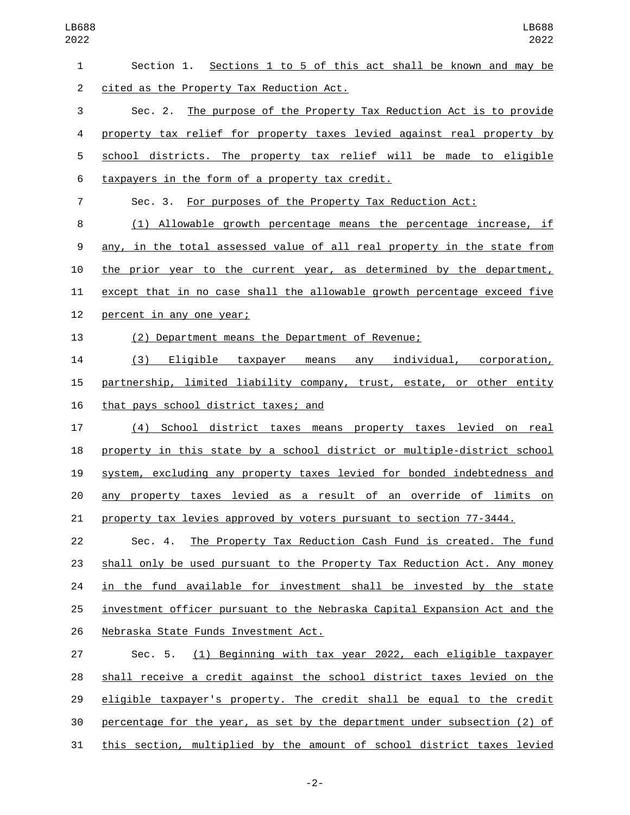| $\mathbf{1}$    | Section 1. Sections 1 to 5 of this act shall be known and may be          |
|-----------------|---------------------------------------------------------------------------|
| 2               | cited as the Property Tax Reduction Act.                                  |
| $\sqrt{3}$      | Sec. 2. The purpose of the Property Tax Reduction Act is to provide       |
| 4               | property tax relief for property taxes levied against real property by    |
| 5               | school districts. The property tax relief will be made to eligible        |
| $6\phantom{.}6$ | taxpayers in the form of a property tax credit.                           |
| $\overline{7}$  | Sec. 3. For purposes of the Property Tax Reduction Act:                   |
| 8               | (1) Allowable growth percentage means the percentage increase, if         |
| 9               | any, in the total assessed value of all real property in the state from   |
| 10              | the prior year to the current year, as determined by the department,      |
| 11              | except that in no case shall the allowable growth percentage exceed five  |
| 12              | percent in any one year;                                                  |
| 13              | (2) Department means the Department of Revenue;                           |
| 14              | (3) Eligible taxpayer means any individual, corporation,                  |
| 15              | partnership, limited liability company, trust, estate, or other entity    |
| 16              | that pays school district taxes; and                                      |
| 17              | (4) School district taxes means property taxes levied on real             |
| 18              | property in this state by a school district or multiple-district school   |
| 19              | system, excluding any property taxes levied for bonded indebtedness and   |
| 20              | any property taxes levied as a result of an override of limits on         |
| 21              | property tax levies approved by voters pursuant to section 77-3444.       |
| 22              | The Property Tax Reduction Cash Fund is created. The fund<br>Sec. 4.      |
| 23              | shall only be used pursuant to the Property Tax Reduction Act. Any money  |
| 24              | in the fund available for investment shall be invested by the state       |
| 25              | investment officer pursuant to the Nebraska Capital Expansion Act and the |
| 26              | Nebraska State Funds Investment Act.                                      |
| 27              | (1) Beginning with tax year 2022, each eligible taxpayer<br>Sec. 5.       |
| 28              | shall receive a credit against the school district taxes levied on the    |
| 29              | eligible taxpayer's property. The credit shall be equal to the credit     |
| 30              | percentage for the year, as set by the department under subsection (2) of |
|                 |                                                                           |

this section, multiplied by the amount of school district taxes levied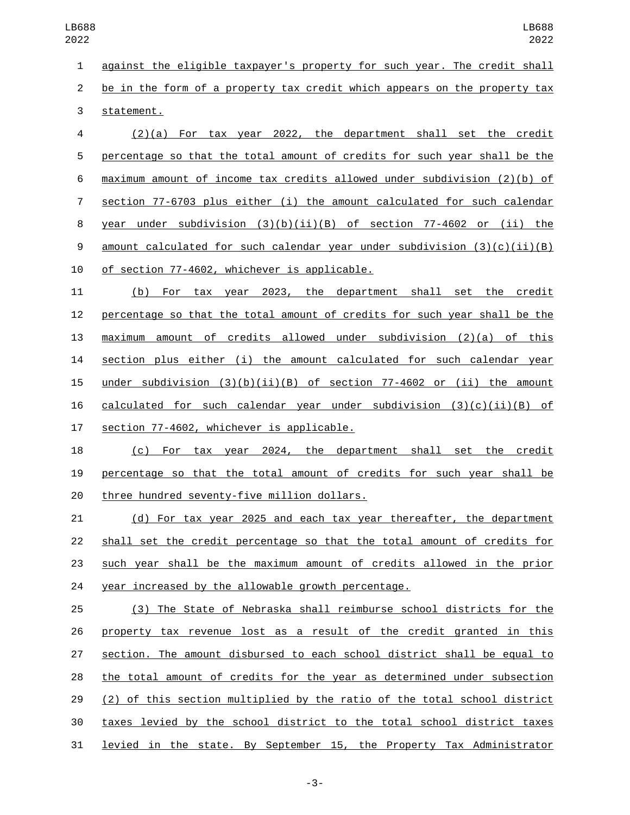1 against the eligible taxpayer's property for such year. The credit shall be in the form of a property tax credit which appears on the property tax 3 statement.

 (2)(a) For tax year 2022, the department shall set the credit percentage so that the total amount of credits for such year shall be the maximum amount of income tax credits allowed under subdivision (2)(b) of section 77-6703 plus either (i) the amount calculated for such calendar year under subdivision (3)(b)(ii)(B) of section 77-4602 or (ii) the amount calculated for such calendar year under subdivision (3)(c)(ii)(B) 10 of section 77-4602, whichever is applicable.

 (b) For tax year 2023, the department shall set the credit percentage so that the total amount of credits for such year shall be the maximum amount of credits allowed under subdivision (2)(a) of this section plus either (i) the amount calculated for such calendar year under subdivision (3)(b)(ii)(B) of section 77-4602 or (ii) the amount 16 calculated for such calendar year under subdivision  $(3)(c)(ii)(B)$  of 17 section 77-4602, whichever is applicable.

 (c) For tax year 2024, the department shall set the credit percentage so that the total amount of credits for such year shall be 20 three hundred seventy-five million dollars.

 (d) For tax year 2025 and each tax year thereafter, the department shall set the credit percentage so that the total amount of credits for such year shall be the maximum amount of credits allowed in the prior year increased by the allowable growth percentage.

 (3) The State of Nebraska shall reimburse school districts for the property tax revenue lost as a result of the credit granted in this section. The amount disbursed to each school district shall be equal to the total amount of credits for the year as determined under subsection (2) of this section multiplied by the ratio of the total school district taxes levied by the school district to the total school district taxes 31 levied in the state. By September 15, the Property Tax Administrator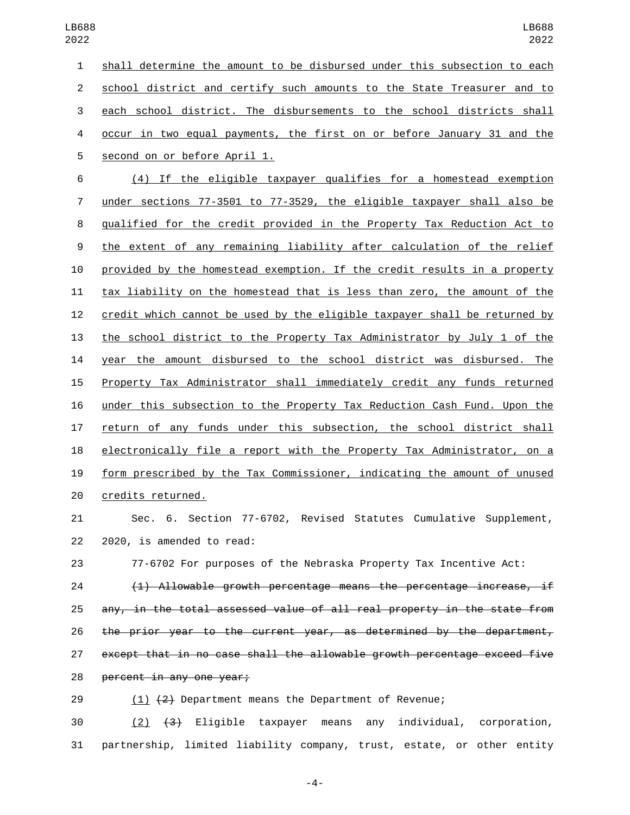shall determine the amount to be disbursed under this subsection to each school district and certify such amounts to the State Treasurer and to each school district. The disbursements to the school districts shall occur in two equal payments, the first on or before January 31 and the 5 second on or before April 1. (4) If the eligible taxpayer qualifies for a homestead exemption

 under sections 77-3501 to 77-3529, the eligible taxpayer shall also be qualified for the credit provided in the Property Tax Reduction Act to the extent of any remaining liability after calculation of the relief provided by the homestead exemption. If the credit results in a property tax liability on the homestead that is less than zero, the amount of the credit which cannot be used by the eligible taxpayer shall be returned by the school district to the Property Tax Administrator by July 1 of the year the amount disbursed to the school district was disbursed. The Property Tax Administrator shall immediately credit any funds returned under this subsection to the Property Tax Reduction Cash Fund. Upon the return of any funds under this subsection, the school district shall electronically file a report with the Property Tax Administrator, on a form prescribed by the Tax Commissioner, indicating the amount of unused 20 credits returned.

 Sec. 6. Section 77-6702, Revised Statutes Cumulative Supplement,  $2020$ , is amended to read:

77-6702 For purposes of the Nebraska Property Tax Incentive Act:

 (1) Allowable growth percentage means the percentage increase, if any, in the total assessed value of all real property in the state from the prior year to the current year, as determined by the department, except that in no case shall the allowable growth percentage exceed five 28 percent in any one year;

29 (1) (2) Department means the Department of Revenue;

 (2) (3) Eligible taxpayer means any individual, corporation, partnership, limited liability company, trust, estate, or other entity

-4-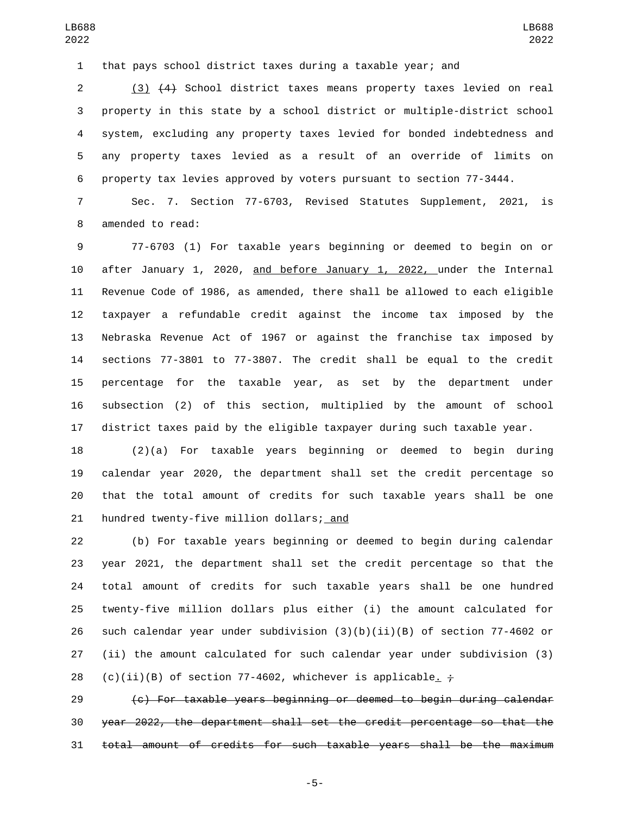that pays school district taxes during a taxable year; and

 (3) (4) School district taxes means property taxes levied on real property in this state by a school district or multiple-district school system, excluding any property taxes levied for bonded indebtedness and any property taxes levied as a result of an override of limits on property tax levies approved by voters pursuant to section 77-3444.

 Sec. 7. Section 77-6703, Revised Statutes Supplement, 2021, is 8 amended to read:

 77-6703 (1) For taxable years beginning or deemed to begin on or 10 after January 1, 2020, and before January 1, 2022, under the Internal Revenue Code of 1986, as amended, there shall be allowed to each eligible taxpayer a refundable credit against the income tax imposed by the Nebraska Revenue Act of 1967 or against the franchise tax imposed by sections 77-3801 to 77-3807. The credit shall be equal to the credit percentage for the taxable year, as set by the department under subsection (2) of this section, multiplied by the amount of school district taxes paid by the eligible taxpayer during such taxable year.

 (2)(a) For taxable years beginning or deemed to begin during calendar year 2020, the department shall set the credit percentage so that the total amount of credits for such taxable years shall be one 21 hundred twenty-five million dollars; and

 (b) For taxable years beginning or deemed to begin during calendar year 2021, the department shall set the credit percentage so that the total amount of credits for such taxable years shall be one hundred twenty-five million dollars plus either (i) the amount calculated for 26 such calendar year under subdivision  $(3)(b)(ii)(B)$  of section 77-4602 or (ii) the amount calculated for such calendar year under subdivision (3) 28 (c)(ii)(B) of section 77-4602, whichever is applicable.  $\div$ 

 (c) For taxable years beginning or deemed to begin during calendar year 2022, the department shall set the credit percentage so that the total amount of credits for such taxable years shall be the maximum

-5-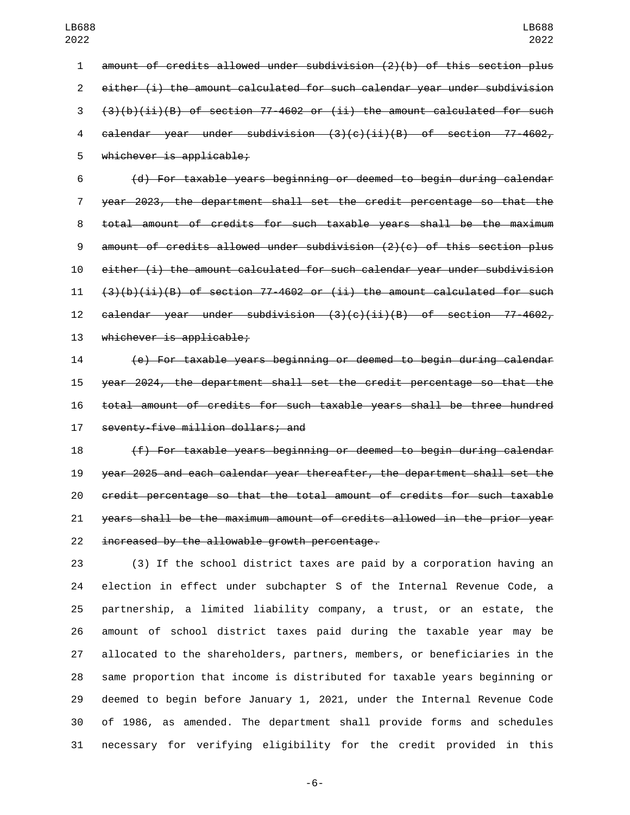amount of credits allowed under subdivision (2)(b) of this section plus either (i) the amount calculated for such calendar year under subdivision  $(3)(b)(ii)(B)$  of section 77-4602 or (ii) the amount calculated for such calendar year under subdivision (3)(c)(ii)(B) of section 77-4602,

5 whichever is applicable;

 (d) For taxable years beginning or deemed to begin during calendar year 2023, the department shall set the credit percentage so that the total amount of credits for such taxable years shall be the maximum amount of credits allowed under subdivision (2)(c) of this section plus either (i) the amount calculated for such calendar year under subdivision  $(3)(b)(ii)(B)$  of section 77-4602 or (ii) the amount calculated for such calendar year under subdivision (3)(c)(ii)(B) of section 77-4602, 13 whichever is applicable;

 (e) For taxable years beginning or deemed to begin during calendar year 2024, the department shall set the credit percentage so that the total amount of credits for such taxable years shall be three hundred 17 seventy-five million dollars; and

 (f) For taxable years beginning or deemed to begin during calendar year 2025 and each calendar year thereafter, the department shall set the credit percentage so that the total amount of credits for such taxable years shall be the maximum amount of credits allowed in the prior year increased by the allowable growth percentage.

 (3) If the school district taxes are paid by a corporation having an election in effect under subchapter S of the Internal Revenue Code, a partnership, a limited liability company, a trust, or an estate, the amount of school district taxes paid during the taxable year may be allocated to the shareholders, partners, members, or beneficiaries in the same proportion that income is distributed for taxable years beginning or deemed to begin before January 1, 2021, under the Internal Revenue Code of 1986, as amended. The department shall provide forms and schedules necessary for verifying eligibility for the credit provided in this

-6-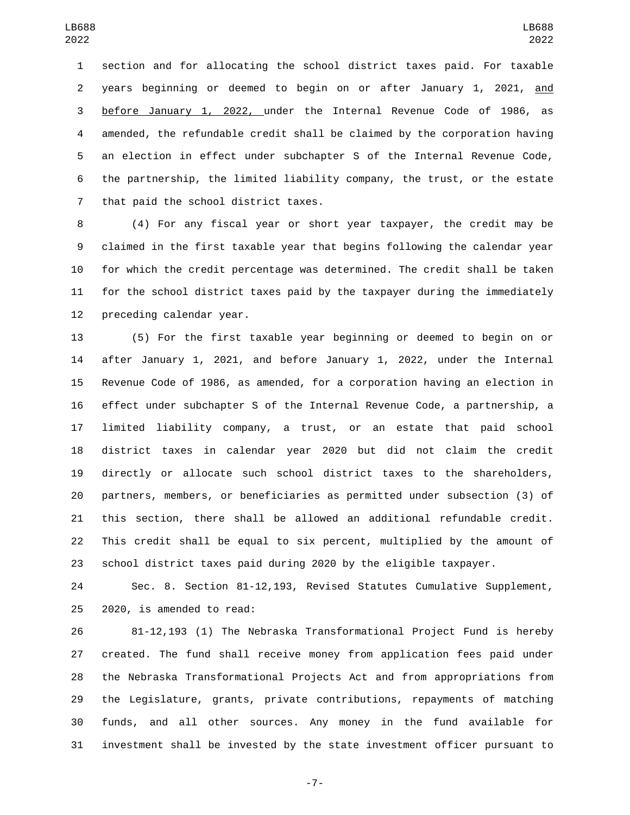section and for allocating the school district taxes paid. For taxable years beginning or deemed to begin on or after January 1, 2021, and before January 1, 2022, under the Internal Revenue Code of 1986, as amended, the refundable credit shall be claimed by the corporation having an election in effect under subchapter S of the Internal Revenue Code, the partnership, the limited liability company, the trust, or the estate 7 that paid the school district taxes.

 (4) For any fiscal year or short year taxpayer, the credit may be claimed in the first taxable year that begins following the calendar year for which the credit percentage was determined. The credit shall be taken for the school district taxes paid by the taxpayer during the immediately 12 preceding calendar year.

 (5) For the first taxable year beginning or deemed to begin on or after January 1, 2021, and before January 1, 2022, under the Internal Revenue Code of 1986, as amended, for a corporation having an election in effect under subchapter S of the Internal Revenue Code, a partnership, a limited liability company, a trust, or an estate that paid school district taxes in calendar year 2020 but did not claim the credit directly or allocate such school district taxes to the shareholders, partners, members, or beneficiaries as permitted under subsection (3) of this section, there shall be allowed an additional refundable credit. This credit shall be equal to six percent, multiplied by the amount of school district taxes paid during 2020 by the eligible taxpayer.

 Sec. 8. Section 81-12,193, Revised Statutes Cumulative Supplement,  $2020$ , is amended to read:

 81-12,193 (1) The Nebraska Transformational Project Fund is hereby created. The fund shall receive money from application fees paid under the Nebraska Transformational Projects Act and from appropriations from the Legislature, grants, private contributions, repayments of matching funds, and all other sources. Any money in the fund available for investment shall be invested by the state investment officer pursuant to

-7-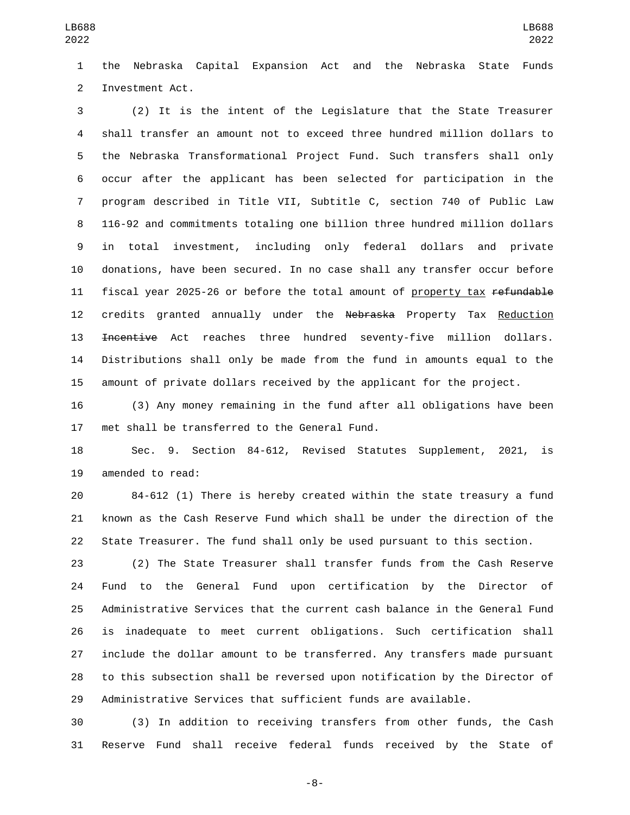the Nebraska Capital Expansion Act and the Nebraska State Funds 2 Investment Act.

 (2) It is the intent of the Legislature that the State Treasurer shall transfer an amount not to exceed three hundred million dollars to the Nebraska Transformational Project Fund. Such transfers shall only occur after the applicant has been selected for participation in the program described in Title VII, Subtitle C, section 740 of Public Law 116-92 and commitments totaling one billion three hundred million dollars in total investment, including only federal dollars and private donations, have been secured. In no case shall any transfer occur before 11 fiscal year 2025-26 or before the total amount of property tax refundable 12 credits granted annually under the Nebraska Property Tax Reduction 13 <del>Incentive</del> Act reaches three hundred seventy-five million dollars. Distributions shall only be made from the fund in amounts equal to the amount of private dollars received by the applicant for the project.

 (3) Any money remaining in the fund after all obligations have been 17 met shall be transferred to the General Fund.

 Sec. 9. Section 84-612, Revised Statutes Supplement, 2021, is 19 amended to read:

 84-612 (1) There is hereby created within the state treasury a fund known as the Cash Reserve Fund which shall be under the direction of the State Treasurer. The fund shall only be used pursuant to this section.

 (2) The State Treasurer shall transfer funds from the Cash Reserve Fund to the General Fund upon certification by the Director of Administrative Services that the current cash balance in the General Fund is inadequate to meet current obligations. Such certification shall include the dollar amount to be transferred. Any transfers made pursuant to this subsection shall be reversed upon notification by the Director of Administrative Services that sufficient funds are available.

 (3) In addition to receiving transfers from other funds, the Cash Reserve Fund shall receive federal funds received by the State of

-8-